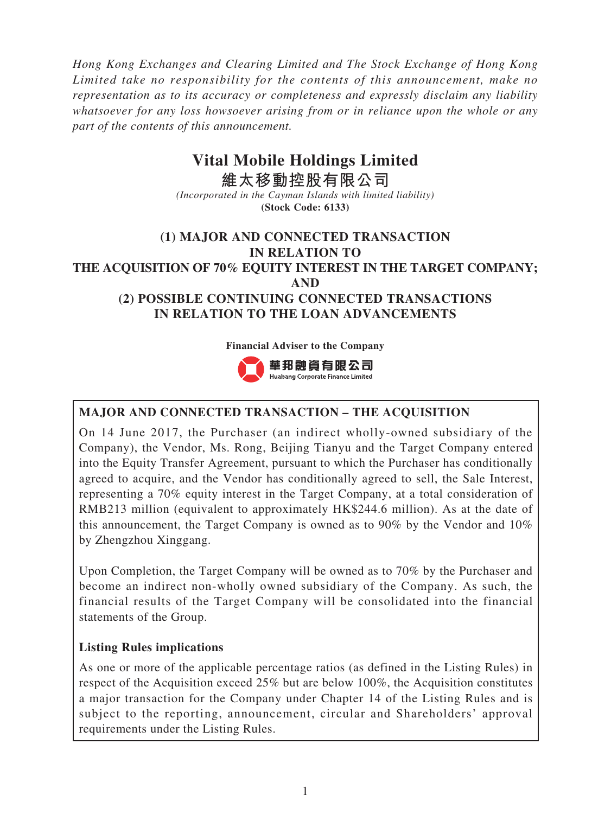*Hong Kong Exchanges and Clearing Limited and The Stock Exchange of Hong Kong Limited take no responsibility for the contents of this announcement, make no representation as to its accuracy or completeness and expressly disclaim any liability whatsoever for any loss howsoever arising from or in reliance upon the whole or any part of the contents of this announcement.*

# **Vital Mobile Holdings Limited**

**維太移動控股有限公司** *(Incorporated in the Cayman Islands with limited liability)* **(Stock Code: 6133)**

# **(1) MAJOR AND CONNECTED TRANSACTION IN RELATION TO THE ACQUISITION OF 70% EQUITY INTEREST IN THE TARGET COMPANY; AND (2) POSSIBLE CONTINUING CONNECTED TRANSACTIONS IN RELATION TO THE LOAN ADVANCEMENTS**

#### **Financial Adviser to the Company**



## **MAJOR AND CONNECTED TRANSACTION – THE ACQUISITION**

On 14 June 2017, the Purchaser (an indirect wholly-owned subsidiary of the Company), the Vendor, Ms. Rong, Beijing Tianyu and the Target Company entered into the Equity Transfer Agreement, pursuant to which the Purchaser has conditionally agreed to acquire, and the Vendor has conditionally agreed to sell, the Sale Interest, representing a 70% equity interest in the Target Company, at a total consideration of RMB213 million (equivalent to approximately HK\$244.6 million). As at the date of this announcement, the Target Company is owned as to 90% by the Vendor and 10% by Zhengzhou Xinggang.

Upon Completion, the Target Company will be owned as to 70% by the Purchaser and become an indirect non-wholly owned subsidiary of the Company. As such, the financial results of the Target Company will be consolidated into the financial statements of the Group.

## **Listing Rules implications**

As one or more of the applicable percentage ratios (as defined in the Listing Rules) in respect of the Acquisition exceed 25% but are below 100%, the Acquisition constitutes a major transaction for the Company under Chapter 14 of the Listing Rules and is subject to the reporting, announcement, circular and Shareholders' approval requirements under the Listing Rules.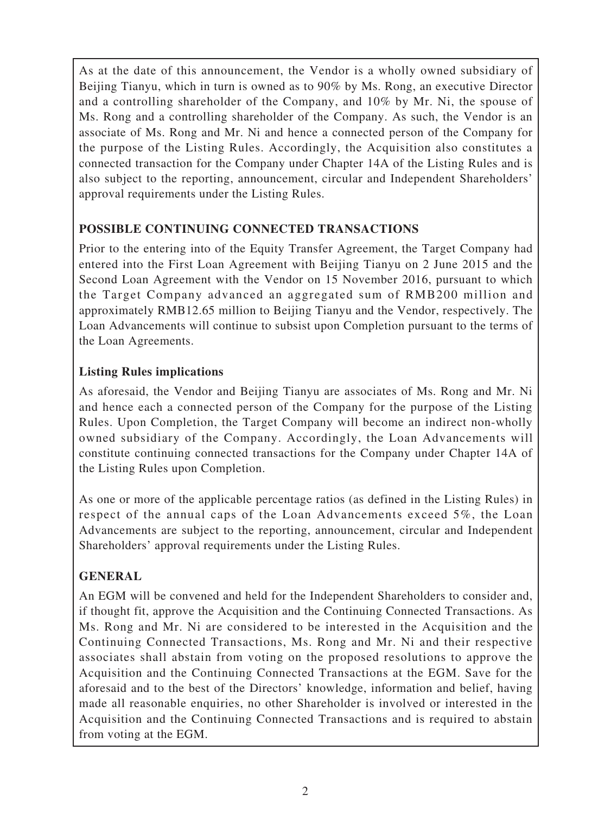As at the date of this announcement, the Vendor is a wholly owned subsidiary of Beijing Tianyu, which in turn is owned as to 90% by Ms. Rong, an executive Director and a controlling shareholder of the Company, and 10% by Mr. Ni, the spouse of Ms. Rong and a controlling shareholder of the Company. As such, the Vendor is an associate of Ms. Rong and Mr. Ni and hence a connected person of the Company for the purpose of the Listing Rules. Accordingly, the Acquisition also constitutes a connected transaction for the Company under Chapter 14A of the Listing Rules and is also subject to the reporting, announcement, circular and Independent Shareholders' approval requirements under the Listing Rules.

## **POSSIBLE CONTINUING CONNECTED TRANSACTIONS**

Prior to the entering into of the Equity Transfer Agreement, the Target Company had entered into the First Loan Agreement with Beijing Tianyu on 2 June 2015 and the Second Loan Agreement with the Vendor on 15 November 2016, pursuant to which the Target Company advanced an aggregated sum of RMB200 million and approximately RMB12.65 million to Beijing Tianyu and the Vendor, respectively. The Loan Advancements will continue to subsist upon Completion pursuant to the terms of the Loan Agreements.

## **Listing Rules implications**

As aforesaid, the Vendor and Beijing Tianyu are associates of Ms. Rong and Mr. Ni and hence each a connected person of the Company for the purpose of the Listing Rules. Upon Completion, the Target Company will become an indirect non-wholly owned subsidiary of the Company. Accordingly, the Loan Advancements will constitute continuing connected transactions for the Company under Chapter 14A of the Listing Rules upon Completion.

As one or more of the applicable percentage ratios (as defined in the Listing Rules) in respect of the annual caps of the Loan Advancements exceed 5%, the Loan Advancements are subject to the reporting, announcement, circular and Independent Shareholders' approval requirements under the Listing Rules.

# **GENERAL**

An EGM will be convened and held for the Independent Shareholders to consider and, if thought fit, approve the Acquisition and the Continuing Connected Transactions. As Ms. Rong and Mr. Ni are considered to be interested in the Acquisition and the Continuing Connected Transactions, Ms. Rong and Mr. Ni and their respective associates shall abstain from voting on the proposed resolutions to approve the Acquisition and the Continuing Connected Transactions at the EGM. Save for the aforesaid and to the best of the Directors' knowledge, information and belief, having made all reasonable enquiries, no other Shareholder is involved or interested in the Acquisition and the Continuing Connected Transactions and is required to abstain from voting at the EGM.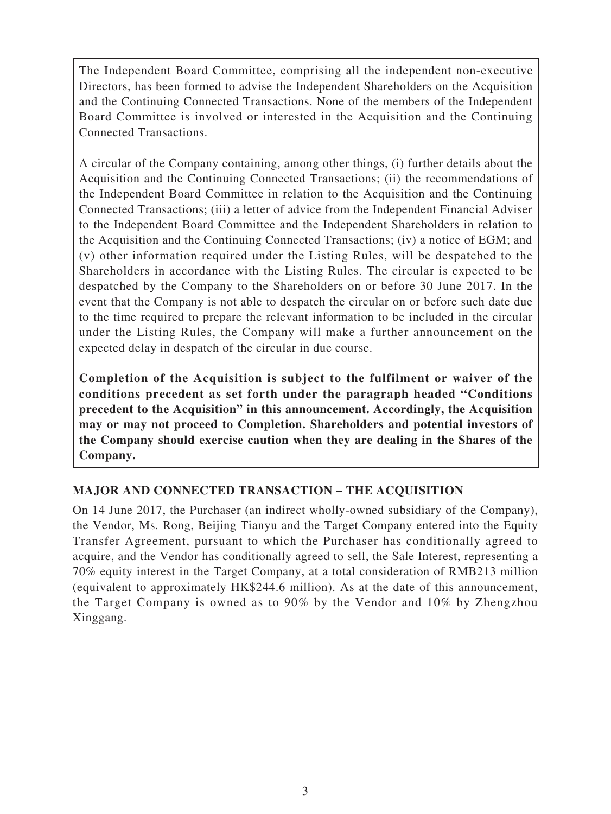The Independent Board Committee, comprising all the independent non-executive Directors, has been formed to advise the Independent Shareholders on the Acquisition and the Continuing Connected Transactions. None of the members of the Independent Board Committee is involved or interested in the Acquisition and the Continuing Connected Transactions.

A circular of the Company containing, among other things, (i) further details about the Acquisition and the Continuing Connected Transactions; (ii) the recommendations of the Independent Board Committee in relation to the Acquisition and the Continuing Connected Transactions; (iii) a letter of advice from the Independent Financial Adviser to the Independent Board Committee and the Independent Shareholders in relation to the Acquisition and the Continuing Connected Transactions; (iv) a notice of EGM; and (v) other information required under the Listing Rules, will be despatched to the Shareholders in accordance with the Listing Rules. The circular is expected to be despatched by the Company to the Shareholders on or before 30 June 2017. In the event that the Company is not able to despatch the circular on or before such date due to the time required to prepare the relevant information to be included in the circular under the Listing Rules, the Company will make a further announcement on the expected delay in despatch of the circular in due course.

**Completion of the Acquisition is subject to the fulfilment or waiver of the conditions precedent as set forth under the paragraph headed "Conditions precedent to the Acquisition" in this announcement. Accordingly, the Acquisition may or may not proceed to Completion. Shareholders and potential investors of the Company should exercise caution when they are dealing in the Shares of the Company.**

## **MAJOR AND CONNECTED TRANSACTION – THE ACQUISITION**

On 14 June 2017, the Purchaser (an indirect wholly-owned subsidiary of the Company), the Vendor, Ms. Rong, Beijing Tianyu and the Target Company entered into the Equity Transfer Agreement, pursuant to which the Purchaser has conditionally agreed to acquire, and the Vendor has conditionally agreed to sell, the Sale Interest, representing a 70% equity interest in the Target Company, at a total consideration of RMB213 million (equivalent to approximately HK\$244.6 million). As at the date of this announcement, the Target Company is owned as to 90% by the Vendor and 10% by Zhengzhou Xinggang.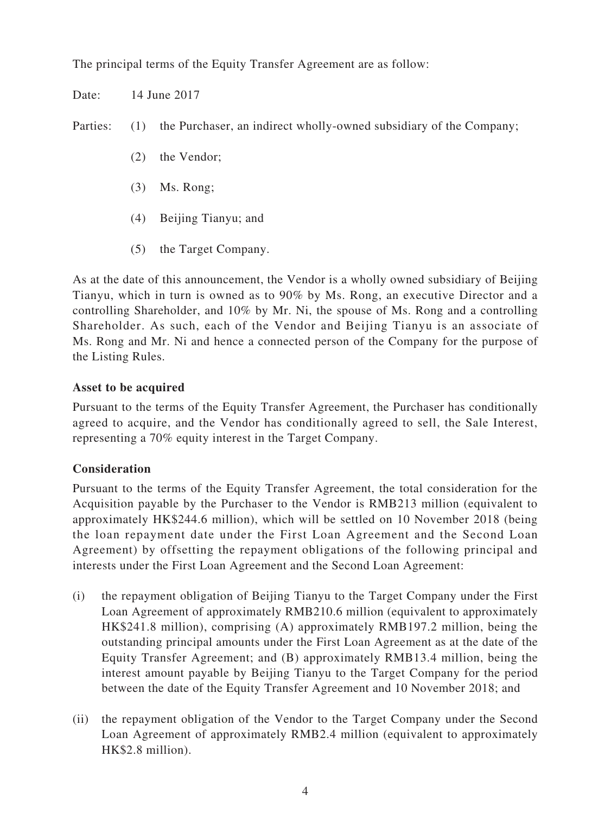The principal terms of the Equity Transfer Agreement are as follow:

Date: 14 June 2017

Parties: (1) the Purchaser, an indirect wholly-owned subsidiary of the Company;

- (2) the Vendor;
- (3) Ms. Rong;
- (4) Beijing Tianyu; and
- (5) the Target Company.

As at the date of this announcement, the Vendor is a wholly owned subsidiary of Beijing Tianyu, which in turn is owned as to 90% by Ms. Rong, an executive Director and a controlling Shareholder, and 10% by Mr. Ni, the spouse of Ms. Rong and a controlling Shareholder. As such, each of the Vendor and Beijing Tianyu is an associate of Ms. Rong and Mr. Ni and hence a connected person of the Company for the purpose of the Listing Rules.

## **Asset to be acquired**

Pursuant to the terms of the Equity Transfer Agreement, the Purchaser has conditionally agreed to acquire, and the Vendor has conditionally agreed to sell, the Sale Interest, representing a 70% equity interest in the Target Company.

## **Consideration**

Pursuant to the terms of the Equity Transfer Agreement, the total consideration for the Acquisition payable by the Purchaser to the Vendor is RMB213 million (equivalent to approximately HK\$244.6 million), which will be settled on 10 November 2018 (being the loan repayment date under the First Loan Agreement and the Second Loan Agreement) by offsetting the repayment obligations of the following principal and interests under the First Loan Agreement and the Second Loan Agreement:

- (i) the repayment obligation of Beijing Tianyu to the Target Company under the First Loan Agreement of approximately RMB210.6 million (equivalent to approximately HK\$241.8 million), comprising (A) approximately RMB197.2 million, being the outstanding principal amounts under the First Loan Agreement as at the date of the Equity Transfer Agreement; and (B) approximately RMB13.4 million, being the interest amount payable by Beijing Tianyu to the Target Company for the period between the date of the Equity Transfer Agreement and 10 November 2018; and
- (ii) the repayment obligation of the Vendor to the Target Company under the Second Loan Agreement of approximately RMB2.4 million (equivalent to approximately HK\$2.8 million).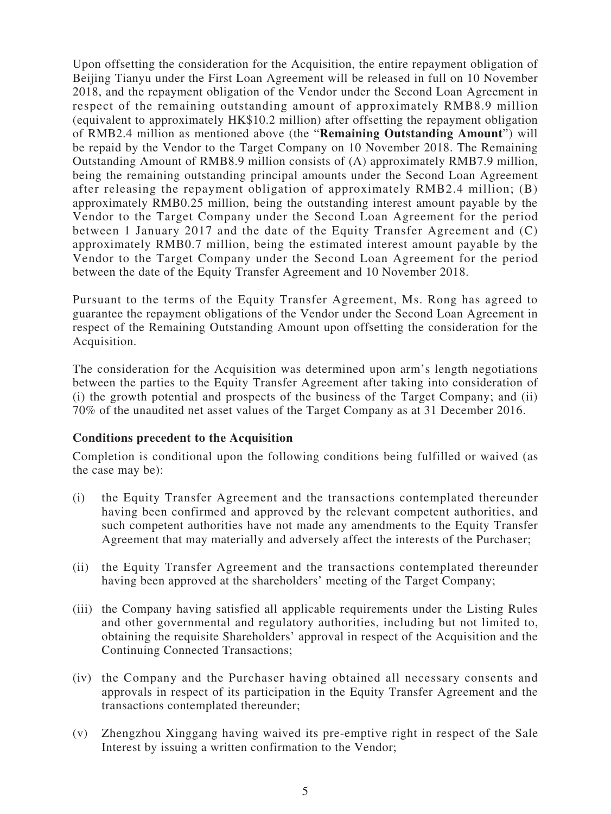Upon offsetting the consideration for the Acquisition, the entire repayment obligation of Beijing Tianyu under the First Loan Agreement will be released in full on 10 November 2018, and the repayment obligation of the Vendor under the Second Loan Agreement in respect of the remaining outstanding amount of approximately RMB8.9 million (equivalent to approximately HK\$10.2 million) after offsetting the repayment obligation of RMB2.4 million as mentioned above (the "**Remaining Outstanding Amount**") will be repaid by the Vendor to the Target Company on 10 November 2018. The Remaining Outstanding Amount of RMB8.9 million consists of (A) approximately RMB7.9 million, being the remaining outstanding principal amounts under the Second Loan Agreement after releasing the repayment obligation of approximately RMB2.4 million; (B) approximately RMB0.25 million, being the outstanding interest amount payable by the Vendor to the Target Company under the Second Loan Agreement for the period between 1 January 2017 and the date of the Equity Transfer Agreement and (C) approximately RMB0.7 million, being the estimated interest amount payable by the Vendor to the Target Company under the Second Loan Agreement for the period between the date of the Equity Transfer Agreement and 10 November 2018.

Pursuant to the terms of the Equity Transfer Agreement, Ms. Rong has agreed to guarantee the repayment obligations of the Vendor under the Second Loan Agreement in respect of the Remaining Outstanding Amount upon offsetting the consideration for the Acquisition.

The consideration for the Acquisition was determined upon arm's length negotiations between the parties to the Equity Transfer Agreement after taking into consideration of (i) the growth potential and prospects of the business of the Target Company; and (ii) 70% of the unaudited net asset values of the Target Company as at 31 December 2016.

#### **Conditions precedent to the Acquisition**

Completion is conditional upon the following conditions being fulfilled or waived (as the case may be):

- (i) the Equity Transfer Agreement and the transactions contemplated thereunder having been confirmed and approved by the relevant competent authorities, and such competent authorities have not made any amendments to the Equity Transfer Agreement that may materially and adversely affect the interests of the Purchaser;
- (ii) the Equity Transfer Agreement and the transactions contemplated thereunder having been approved at the shareholders' meeting of the Target Company;
- (iii) the Company having satisfied all applicable requirements under the Listing Rules and other governmental and regulatory authorities, including but not limited to, obtaining the requisite Shareholders' approval in respect of the Acquisition and the Continuing Connected Transactions;
- (iv) the Company and the Purchaser having obtained all necessary consents and approvals in respect of its participation in the Equity Transfer Agreement and the transactions contemplated thereunder;
- (v) Zhengzhou Xinggang having waived its pre-emptive right in respect of the Sale Interest by issuing a written confirmation to the Vendor;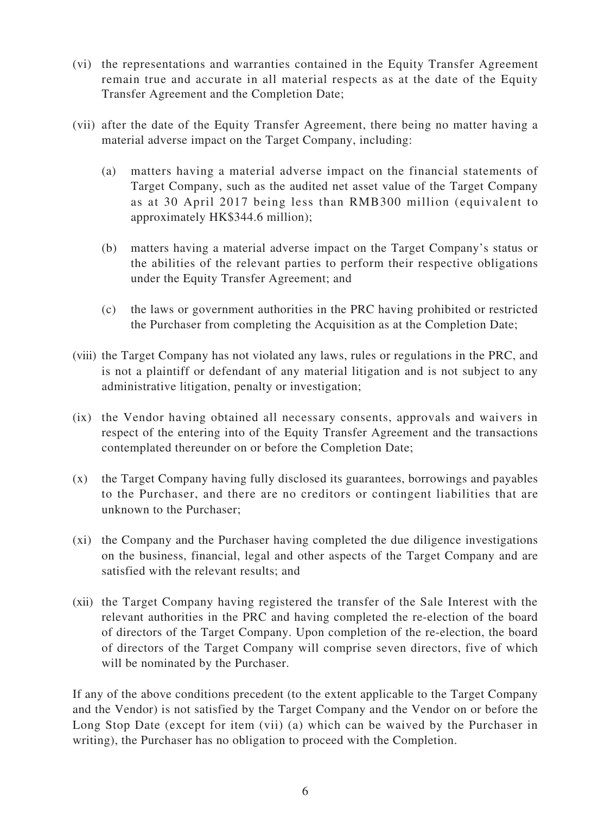- (vi) the representations and warranties contained in the Equity Transfer Agreement remain true and accurate in all material respects as at the date of the Equity Transfer Agreement and the Completion Date;
- (vii) after the date of the Equity Transfer Agreement, there being no matter having a material adverse impact on the Target Company, including:
	- (a) matters having a material adverse impact on the financial statements of Target Company, such as the audited net asset value of the Target Company as at 30 April 2017 being less than RMB300 million (equivalent to approximately HK\$344.6 million);
	- (b) matters having a material adverse impact on the Target Company's status or the abilities of the relevant parties to perform their respective obligations under the Equity Transfer Agreement; and
	- (c) the laws or government authorities in the PRC having prohibited or restricted the Purchaser from completing the Acquisition as at the Completion Date;
- (viii) the Target Company has not violated any laws, rules or regulations in the PRC, and is not a plaintiff or defendant of any material litigation and is not subject to any administrative litigation, penalty or investigation;
- (ix) the Vendor having obtained all necessary consents, approvals and waivers in respect of the entering into of the Equity Transfer Agreement and the transactions contemplated thereunder on or before the Completion Date;
- (x) the Target Company having fully disclosed its guarantees, borrowings and payables to the Purchaser, and there are no creditors or contingent liabilities that are unknown to the Purchaser;
- (xi) the Company and the Purchaser having completed the due diligence investigations on the business, financial, legal and other aspects of the Target Company and are satisfied with the relevant results; and
- (xii) the Target Company having registered the transfer of the Sale Interest with the relevant authorities in the PRC and having completed the re-election of the board of directors of the Target Company. Upon completion of the re-election, the board of directors of the Target Company will comprise seven directors, five of which will be nominated by the Purchaser.

If any of the above conditions precedent (to the extent applicable to the Target Company and the Vendor) is not satisfied by the Target Company and the Vendor on or before the Long Stop Date (except for item (vii) (a) which can be waived by the Purchaser in writing), the Purchaser has no obligation to proceed with the Completion.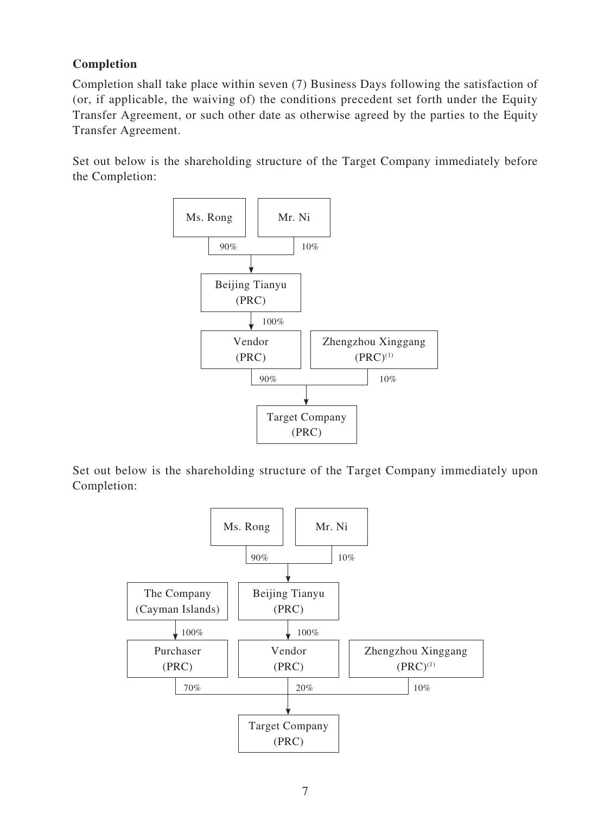# **Completion**

Completion shall take place within seven (7) Business Days following the satisfaction of (or, if applicable, the waiving of) the conditions precedent set forth under the Equity Transfer Agreement, or such other date as otherwise agreed by the parties to the Equity Transfer Agreement.

Set out below is the shareholding structure of the Target Company immediately before the Completion:



Set out below is the shareholding structure of the Target Company immediately upon Completion:

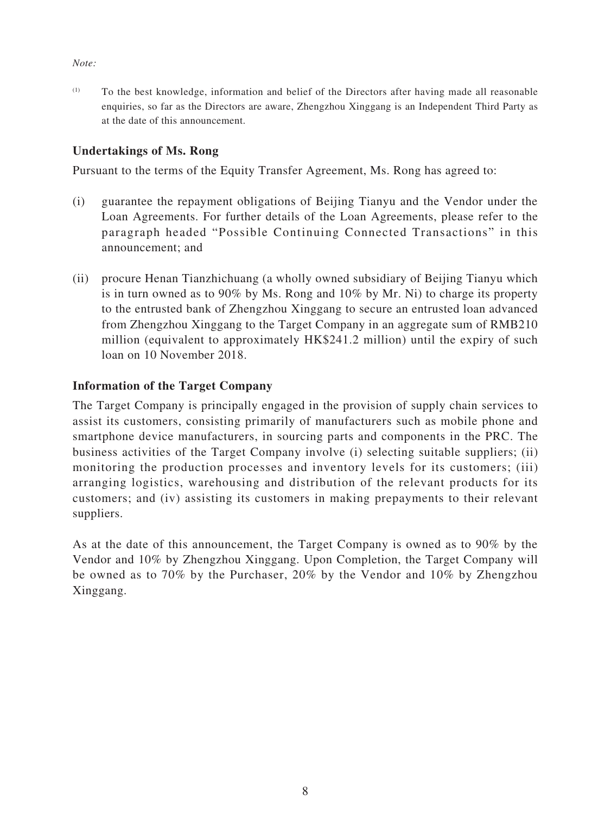#### *Note:*

 $(1)$  To the best knowledge, information and belief of the Directors after having made all reasonable enquiries, so far as the Directors are aware, Zhengzhou Xinggang is an Independent Third Party as at the date of this announcement.

#### **Undertakings of Ms. Rong**

Pursuant to the terms of the Equity Transfer Agreement, Ms. Rong has agreed to:

- (i) guarantee the repayment obligations of Beijing Tianyu and the Vendor under the Loan Agreements. For further details of the Loan Agreements, please refer to the paragraph headed "Possible Continuing Connected Transactions" in this announcement; and
- (ii) procure Henan Tianzhichuang (a wholly owned subsidiary of Beijing Tianyu which is in turn owned as to 90% by Ms. Rong and 10% by Mr. Ni) to charge its property to the entrusted bank of Zhengzhou Xinggang to secure an entrusted loan advanced from Zhengzhou Xinggang to the Target Company in an aggregate sum of RMB210 million (equivalent to approximately HK\$241.2 million) until the expiry of such loan on 10 November 2018.

#### **Information of the Target Company**

The Target Company is principally engaged in the provision of supply chain services to assist its customers, consisting primarily of manufacturers such as mobile phone and smartphone device manufacturers, in sourcing parts and components in the PRC. The business activities of the Target Company involve (i) selecting suitable suppliers; (ii) monitoring the production processes and inventory levels for its customers; (iii) arranging logistics, warehousing and distribution of the relevant products for its customers; and (iv) assisting its customers in making prepayments to their relevant suppliers.

As at the date of this announcement, the Target Company is owned as to 90% by the Vendor and 10% by Zhengzhou Xinggang. Upon Completion, the Target Company will be owned as to 70% by the Purchaser, 20% by the Vendor and 10% by Zhengzhou Xinggang.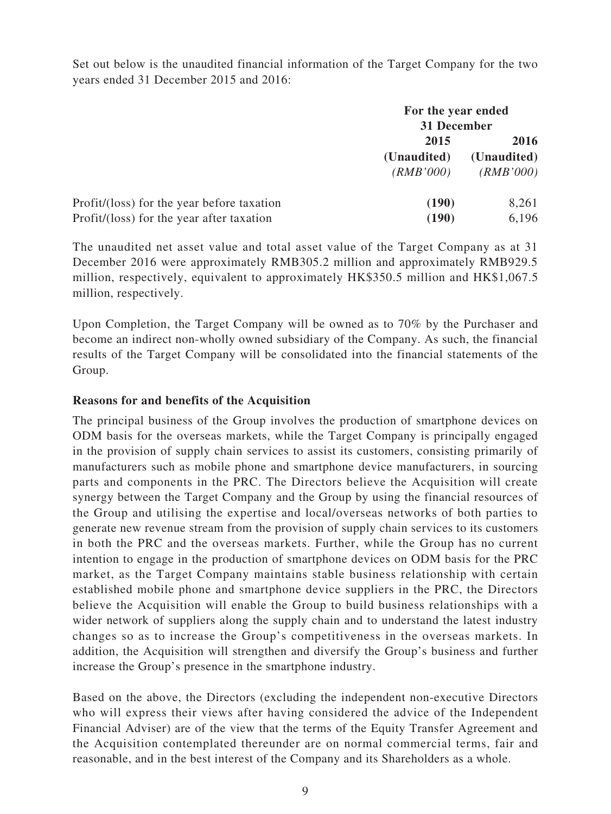Set out below is the unaudited financial information of the Target Company for the two years ended 31 December 2015 and 2016:

|                                            | For the year ended<br>31 December |             |
|--------------------------------------------|-----------------------------------|-------------|
|                                            | 2015                              | 2016        |
|                                            | (Unaudited)                       | (Unaudited) |
|                                            | (RMB'000)                         | (RMB'000)   |
| Profit/(loss) for the year before taxation | (190)                             | 8,261       |
| Profit/(loss) for the year after taxation  | (190)                             | 6,196       |

The unaudited net asset value and total asset value of the Target Company as at 31 December 2016 were approximately RMB305.2 million and approximately RMB929.5 million, respectively, equivalent to approximately HK\$350.5 million and HK\$1,067.5 million, respectively.

Upon Completion, the Target Company will be owned as to 70% by the Purchaser and become an indirect non-wholly owned subsidiary of the Company. As such, the financial results of the Target Company will be consolidated into the financial statements of the Group.

#### **Reasons for and benefits of the Acquisition**

The principal business of the Group involves the production of smartphone devices on ODM basis for the overseas markets, while the Target Company is principally engaged in the provision of supply chain services to assist its customers, consisting primarily of manufacturers such as mobile phone and smartphone device manufacturers, in sourcing parts and components in the PRC. The Directors believe the Acquisition will create synergy between the Target Company and the Group by using the financial resources of the Group and utilising the expertise and local/overseas networks of both parties to generate new revenue stream from the provision of supply chain services to its customers in both the PRC and the overseas markets. Further, while the Group has no current intention to engage in the production of smartphone devices on ODM basis for the PRC market, as the Target Company maintains stable business relationship with certain established mobile phone and smartphone device suppliers in the PRC, the Directors believe the Acquisition will enable the Group to build business relationships with a wider network of suppliers along the supply chain and to understand the latest industry changes so as to increase the Group's competitiveness in the overseas markets. In addition, the Acquisition will strengthen and diversify the Group's business and further increase the Group's presence in the smartphone industry.

Based on the above, the Directors (excluding the independent non-executive Directors who will express their views after having considered the advice of the Independent Financial Adviser) are of the view that the terms of the Equity Transfer Agreement and the Acquisition contemplated thereunder are on normal commercial terms, fair and reasonable, and in the best interest of the Company and its Shareholders as a whole.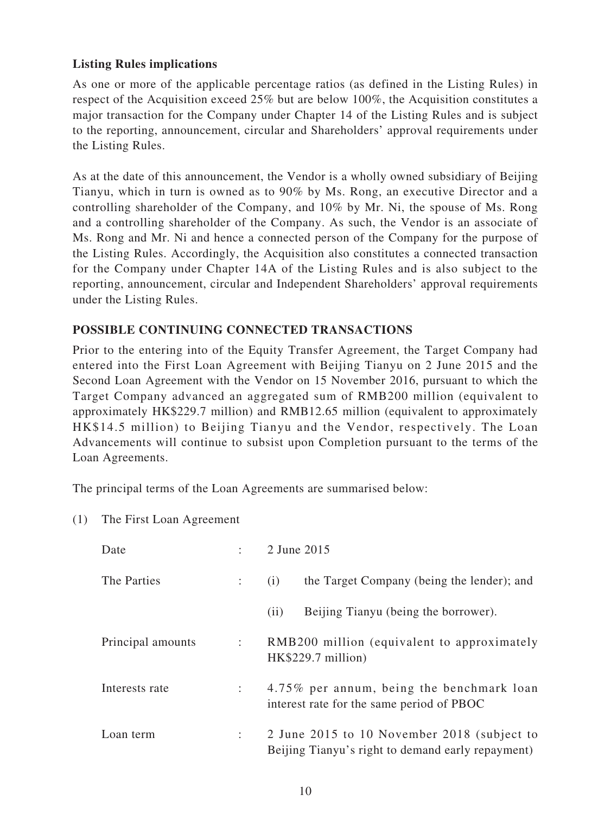## **Listing Rules implications**

As one or more of the applicable percentage ratios (as defined in the Listing Rules) in respect of the Acquisition exceed 25% but are below 100%, the Acquisition constitutes a major transaction for the Company under Chapter 14 of the Listing Rules and is subject to the reporting, announcement, circular and Shareholders' approval requirements under the Listing Rules.

As at the date of this announcement, the Vendor is a wholly owned subsidiary of Beijing Tianyu, which in turn is owned as to 90% by Ms. Rong, an executive Director and a controlling shareholder of the Company, and 10% by Mr. Ni, the spouse of Ms. Rong and a controlling shareholder of the Company. As such, the Vendor is an associate of Ms. Rong and Mr. Ni and hence a connected person of the Company for the purpose of the Listing Rules. Accordingly, the Acquisition also constitutes a connected transaction for the Company under Chapter 14A of the Listing Rules and is also subject to the reporting, announcement, circular and Independent Shareholders' approval requirements under the Listing Rules.

## **POSSIBLE CONTINUING CONNECTED TRANSACTIONS**

Prior to the entering into of the Equity Transfer Agreement, the Target Company had entered into the First Loan Agreement with Beijing Tianyu on 2 June 2015 and the Second Loan Agreement with the Vendor on 15 November 2016, pursuant to which the Target Company advanced an aggregated sum of RMB200 million (equivalent to approximately HK\$229.7 million) and RMB12.65 million (equivalent to approximately HK\$14.5 million) to Beijing Tianyu and the Vendor, respectively. The Loan Advancements will continue to subsist upon Completion pursuant to the terms of the Loan Agreements.

The principal terms of the Loan Agreements are summarised below:

(1) The First Loan Agreement

| Date              |                | 2 June 2015                                                                                      |
|-------------------|----------------|--------------------------------------------------------------------------------------------------|
| The Parties       | $\mathbb{R}^n$ | the Target Company (being the lender); and<br>(i)                                                |
|                   |                | Beijing Tianyu (being the borrower).<br>(i)                                                      |
| Principal amounts |                | RMB200 million (equivalent to approximately<br>HK\$229.7 million)                                |
| Interests rate    |                | 4.75% per annum, being the benchmark loan<br>interest rate for the same period of PBOC           |
| Loan term         |                | 2 June 2015 to 10 November 2018 (subject to<br>Beijing Tianyu's right to demand early repayment) |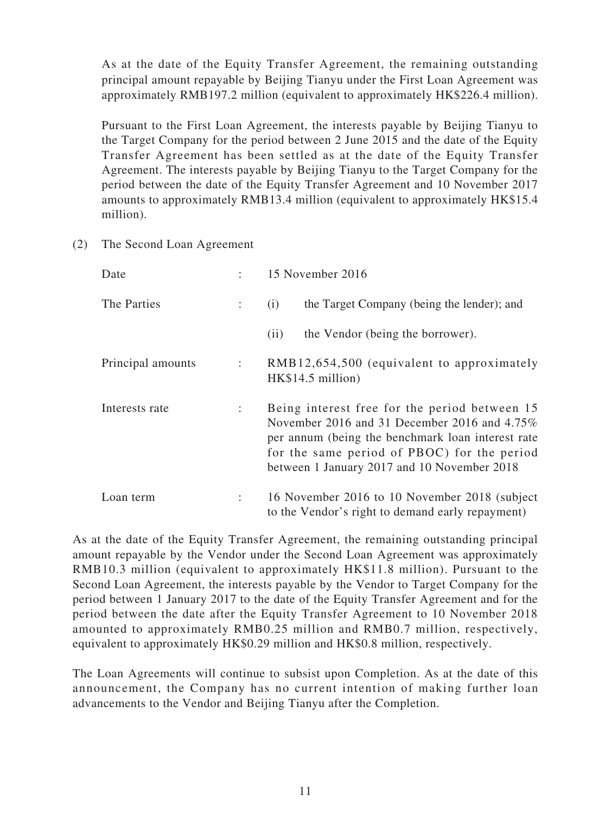As at the date of the Equity Transfer Agreement, the remaining outstanding principal amount repayable by Beijing Tianyu under the First Loan Agreement was approximately RMB197.2 million (equivalent to approximately HK\$226.4 million).

Pursuant to the First Loan Agreement, the interests payable by Beijing Tianyu to the Target Company for the period between 2 June 2015 and the date of the Equity Transfer Agreement has been settled as at the date of the Equity Transfer Agreement. The interests payable by Beijing Tianyu to the Target Company for the period between the date of the Equity Transfer Agreement and 10 November 2017 amounts to approximately RMB13.4 million (equivalent to approximately HK\$15.4 million).

(2) The Second Loan Agreement

| Date              |                           | 15 November 2016                                                                                                                                                                                                                                 |
|-------------------|---------------------------|--------------------------------------------------------------------------------------------------------------------------------------------------------------------------------------------------------------------------------------------------|
| The Parties       | $\ddot{\phantom{a}}$      | the Target Company (being the lender); and<br>(i)                                                                                                                                                                                                |
|                   |                           | the Vendor (being the borrower).<br>(ii)                                                                                                                                                                                                         |
| Principal amounts | $\mathcal{L}$             | RMB12,654,500 (equivalent to approximately<br>HK\$14.5 million)                                                                                                                                                                                  |
| Interests rate    | $\mathbb{R}^{\mathbb{Z}}$ | Being interest free for the period between 15<br>November 2016 and 31 December 2016 and 4.75%<br>per annum (being the benchmark loan interest rate<br>for the same period of PBOC) for the period<br>between 1 January 2017 and 10 November 2018 |
| Loan term         | $\mathbb{R}^n$            | 16 November 2016 to 10 November 2018 (subject)<br>to the Vendor's right to demand early repayment)                                                                                                                                               |

As at the date of the Equity Transfer Agreement, the remaining outstanding principal amount repayable by the Vendor under the Second Loan Agreement was approximately RMB10.3 million (equivalent to approximately HK\$11.8 million). Pursuant to the Second Loan Agreement, the interests payable by the Vendor to Target Company for the period between 1 January 2017 to the date of the Equity Transfer Agreement and for the period between the date after the Equity Transfer Agreement to 10 November 2018 amounted to approximately RMB0.25 million and RMB0.7 million, respectively, equivalent to approximately HK\$0.29 million and HK\$0.8 million, respectively.

The Loan Agreements will continue to subsist upon Completion. As at the date of this announcement, the Company has no current intention of making further loan advancements to the Vendor and Beijing Tianyu after the Completion.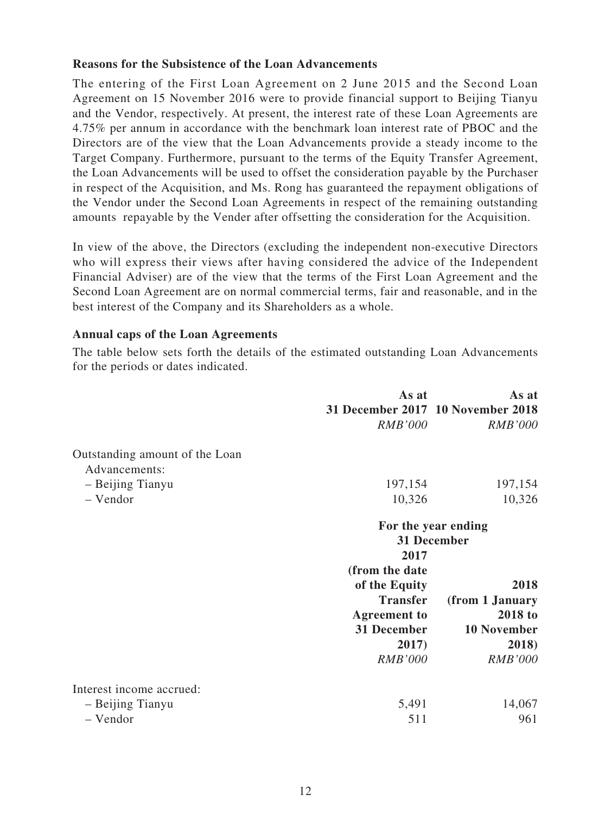#### **Reasons for the Subsistence of the Loan Advancements**

The entering of the First Loan Agreement on 2 June 2015 and the Second Loan Agreement on 15 November 2016 were to provide financial support to Beijing Tianyu and the Vendor, respectively. At present, the interest rate of these Loan Agreements are 4.75% per annum in accordance with the benchmark loan interest rate of PBOC and the Directors are of the view that the Loan Advancements provide a steady income to the Target Company. Furthermore, pursuant to the terms of the Equity Transfer Agreement, the Loan Advancements will be used to offset the consideration payable by the Purchaser in respect of the Acquisition, and Ms. Rong has guaranteed the repayment obligations of the Vendor under the Second Loan Agreements in respect of the remaining outstanding amounts repayable by the Vender after offsetting the consideration for the Acquisition.

In view of the above, the Directors (excluding the independent non-executive Directors who will express their views after having considered the advice of the Independent Financial Adviser) are of the view that the terms of the First Loan Agreement and the Second Loan Agreement are on normal commercial terms, fair and reasonable, and in the best interest of the Company and its Shareholders as a whole.

#### **Annual caps of the Loan Agreements**

The table below sets forth the details of the estimated outstanding Loan Advancements for the periods or dates indicated.

|                                | As at               | As at                             |
|--------------------------------|---------------------|-----------------------------------|
|                                |                     | 31 December 2017 10 November 2018 |
|                                | <b>RMB'000</b>      | <b>RMB'000</b>                    |
| Outstanding amount of the Loan |                     |                                   |
| Advancements:                  |                     |                                   |
| - Beijing Tianyu               | 197,154             | 197,154                           |
| - Vendor                       | 10,326              | 10,326                            |
|                                |                     | For the year ending               |
|                                |                     | 31 December                       |
|                                | 2017                |                                   |
|                                | (from the date      |                                   |
|                                | of the Equity       | 2018                              |
|                                | <b>Transfer</b>     | (from 1 January                   |
|                                | <b>Agreement</b> to | 2018 to                           |
|                                | 31 December         | <b>10 November</b>                |
|                                | 2017)               | 2018)                             |
|                                | <b>RMB'000</b>      | <b>RMB'000</b>                    |
| Interest income accrued:       |                     |                                   |
| - Beijing Tianyu               | 5,491               | 14,067                            |
| - Vendor                       | 511                 | 961                               |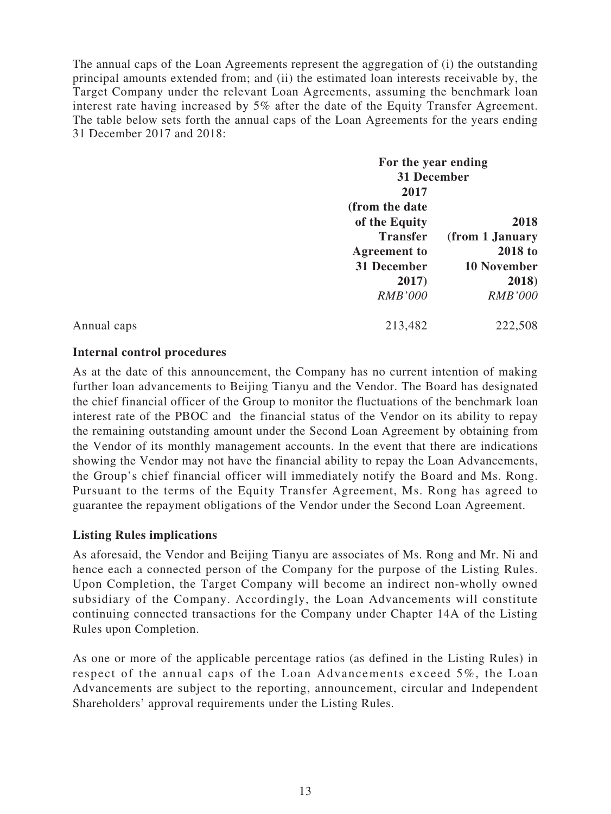The annual caps of the Loan Agreements represent the aggregation of (i) the outstanding principal amounts extended from; and (ii) the estimated loan interests receivable by, the Target Company under the relevant Loan Agreements, assuming the benchmark loan interest rate having increased by 5% after the date of the Equity Transfer Agreement. The table below sets forth the annual caps of the Loan Agreements for the years ending 31 December 2017 and 2018:

|             | For the year ending  |                             |
|-------------|----------------------|-----------------------------|
|             | 31 December          |                             |
|             | 2017                 |                             |
|             | (from the date       |                             |
|             | of the Equity        | 2018                        |
|             | <b>Transfer</b>      | (from 1 January             |
|             | <b>Agreement</b> to  | <b>2018 to</b>              |
|             | 31 December<br>2017) | <b>10 November</b><br>2018) |
|             |                      |                             |
|             | <b>RMB'000</b>       | <b>RMB'000</b>              |
| Annual caps | 213,482              | 222,508                     |

## **Internal control procedures**

As at the date of this announcement, the Company has no current intention of making further loan advancements to Beijing Tianyu and the Vendor. The Board has designated the chief financial officer of the Group to monitor the fluctuations of the benchmark loan interest rate of the PBOC and the financial status of the Vendor on its ability to repay the remaining outstanding amount under the Second Loan Agreement by obtaining from the Vendor of its monthly management accounts. In the event that there are indications showing the Vendor may not have the financial ability to repay the Loan Advancements, the Group's chief financial officer will immediately notify the Board and Ms. Rong. Pursuant to the terms of the Equity Transfer Agreement, Ms. Rong has agreed to guarantee the repayment obligations of the Vendor under the Second Loan Agreement.

## **Listing Rules implications**

As aforesaid, the Vendor and Beijing Tianyu are associates of Ms. Rong and Mr. Ni and hence each a connected person of the Company for the purpose of the Listing Rules. Upon Completion, the Target Company will become an indirect non-wholly owned subsidiary of the Company. Accordingly, the Loan Advancements will constitute continuing connected transactions for the Company under Chapter 14A of the Listing Rules upon Completion.

As one or more of the applicable percentage ratios (as defined in the Listing Rules) in respect of the annual caps of the Loan Advancements exceed 5%, the Loan Advancements are subject to the reporting, announcement, circular and Independent Shareholders' approval requirements under the Listing Rules.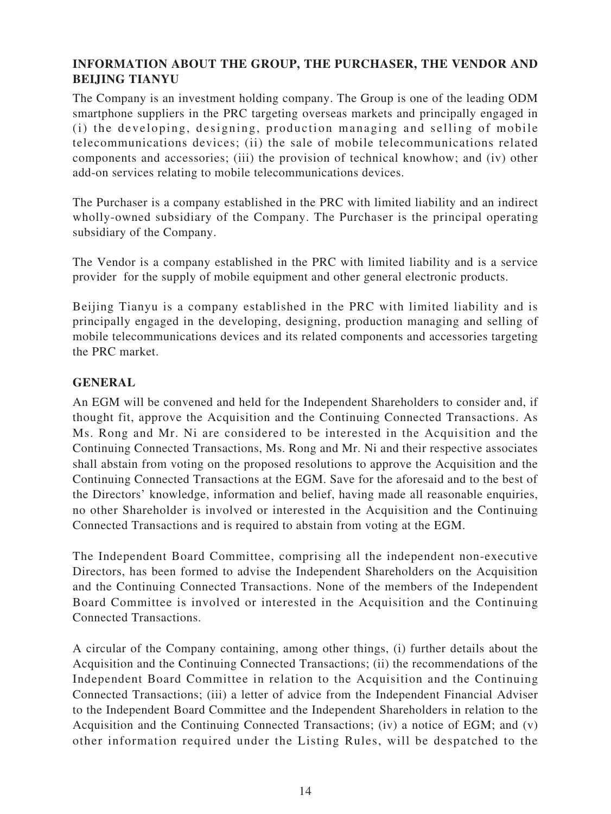## **INFORMATION ABOUT THE GROUP, THE PURCHASER, THE VENDOR AND BEIJING TIANYU**

The Company is an investment holding company. The Group is one of the leading ODM smartphone suppliers in the PRC targeting overseas markets and principally engaged in (i) the developing, designing, production managing and selling of mobile telecommunications devices; (ii) the sale of mobile telecommunications related components and accessories; (iii) the provision of technical knowhow; and (iv) other add-on services relating to mobile telecommunications devices.

The Purchaser is a company established in the PRC with limited liability and an indirect wholly-owned subsidiary of the Company. The Purchaser is the principal operating subsidiary of the Company.

The Vendor is a company established in the PRC with limited liability and is a service provider for the supply of mobile equipment and other general electronic products.

Beijing Tianyu is a company established in the PRC with limited liability and is principally engaged in the developing, designing, production managing and selling of mobile telecommunications devices and its related components and accessories targeting the PRC market.

## **GENERAL**

An EGM will be convened and held for the Independent Shareholders to consider and, if thought fit, approve the Acquisition and the Continuing Connected Transactions. As Ms. Rong and Mr. Ni are considered to be interested in the Acquisition and the Continuing Connected Transactions, Ms. Rong and Mr. Ni and their respective associates shall abstain from voting on the proposed resolutions to approve the Acquisition and the Continuing Connected Transactions at the EGM. Save for the aforesaid and to the best of the Directors' knowledge, information and belief, having made all reasonable enquiries, no other Shareholder is involved or interested in the Acquisition and the Continuing Connected Transactions and is required to abstain from voting at the EGM.

The Independent Board Committee, comprising all the independent non-executive Directors, has been formed to advise the Independent Shareholders on the Acquisition and the Continuing Connected Transactions. None of the members of the Independent Board Committee is involved or interested in the Acquisition and the Continuing Connected Transactions.

A circular of the Company containing, among other things, (i) further details about the Acquisition and the Continuing Connected Transactions; (ii) the recommendations of the Independent Board Committee in relation to the Acquisition and the Continuing Connected Transactions; (iii) a letter of advice from the Independent Financial Adviser to the Independent Board Committee and the Independent Shareholders in relation to the Acquisition and the Continuing Connected Transactions; (iv) a notice of EGM; and (v) other information required under the Listing Rules, will be despatched to the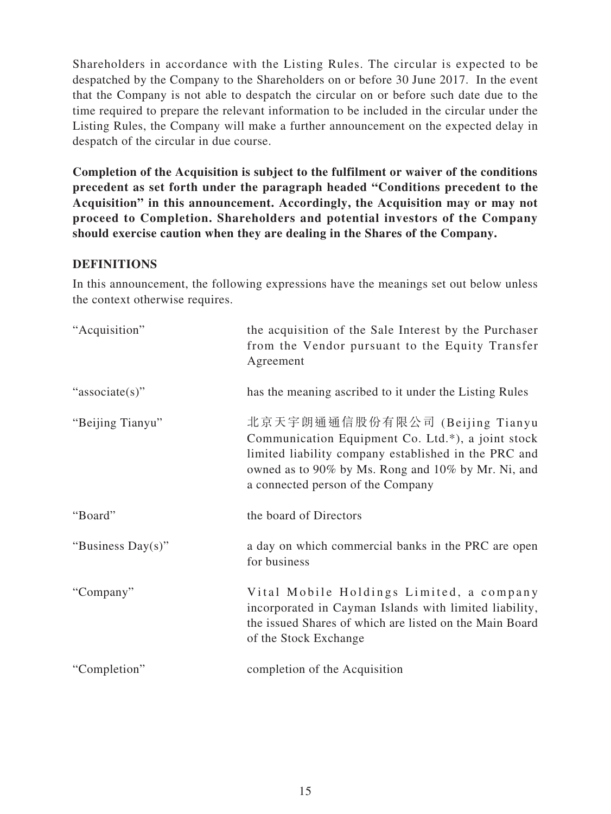Shareholders in accordance with the Listing Rules. The circular is expected to be despatched by the Company to the Shareholders on or before 30 June 2017. In the event that the Company is not able to despatch the circular on or before such date due to the time required to prepare the relevant information to be included in the circular under the Listing Rules, the Company will make a further announcement on the expected delay in despatch of the circular in due course.

**Completion of the Acquisition is subject to the fulfilment or waiver of the conditions precedent as set forth under the paragraph headed "Conditions precedent to the Acquisition" in this announcement. Accordingly, the Acquisition may or may not proceed to Completion. Shareholders and potential investors of the Company should exercise caution when they are dealing in the Shares of the Company.**

#### **DEFINITIONS**

In this announcement, the following expressions have the meanings set out below unless the context otherwise requires.

| "Acquisition"     | the acquisition of the Sale Interest by the Purchaser<br>from the Vendor pursuant to the Equity Transfer<br>Agreement                                                                                                                  |
|-------------------|----------------------------------------------------------------------------------------------------------------------------------------------------------------------------------------------------------------------------------------|
| "associate(s)"    | has the meaning ascribed to it under the Listing Rules                                                                                                                                                                                 |
| "Beijing Tianyu"  | 北京天宇朗通通信股份有限公司 (Beijing Tianyu<br>Communication Equipment Co. Ltd.*), a joint stock<br>limited liability company established in the PRC and<br>owned as to 90% by Ms. Rong and 10% by Mr. Ni, and<br>a connected person of the Company |
| "Board"           | the board of Directors                                                                                                                                                                                                                 |
| "Business Day(s)" | a day on which commercial banks in the PRC are open<br>for business                                                                                                                                                                    |
| "Company"         | Vital Mobile Holdings Limited, a company<br>incorporated in Cayman Islands with limited liability,<br>the issued Shares of which are listed on the Main Board<br>of the Stock Exchange                                                 |
| "Completion"      | completion of the Acquisition                                                                                                                                                                                                          |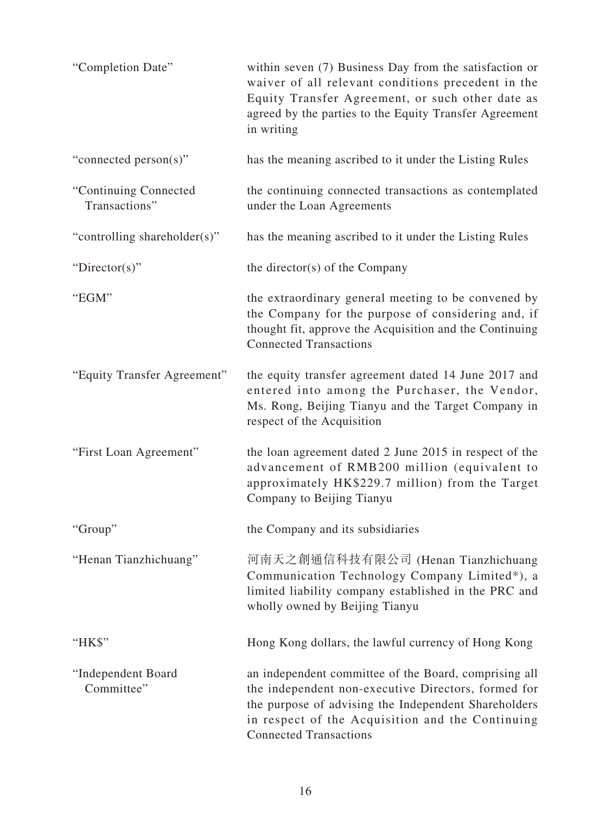| "Completion Date"                      | within seven (7) Business Day from the satisfaction or<br>waiver of all relevant conditions precedent in the<br>Equity Transfer Agreement, or such other date as<br>agreed by the parties to the Equity Transfer Agreement<br>in writing                  |
|----------------------------------------|-----------------------------------------------------------------------------------------------------------------------------------------------------------------------------------------------------------------------------------------------------------|
| "connected person(s)"                  | has the meaning ascribed to it under the Listing Rules                                                                                                                                                                                                    |
| "Continuing Connected<br>Transactions" | the continuing connected transactions as contemplated<br>under the Loan Agreements                                                                                                                                                                        |
| "controlling shareholder(s)"           | has the meaning ascribed to it under the Listing Rules                                                                                                                                                                                                    |
| "Director(s)"                          | the director(s) of the Company                                                                                                                                                                                                                            |
| "EGM"                                  | the extraordinary general meeting to be convened by<br>the Company for the purpose of considering and, if<br>thought fit, approve the Acquisition and the Continuing<br><b>Connected Transactions</b>                                                     |
| "Equity Transfer Agreement"            | the equity transfer agreement dated 14 June 2017 and<br>entered into among the Purchaser, the Vendor,<br>Ms. Rong, Beijing Tianyu and the Target Company in<br>respect of the Acquisition                                                                 |
| "First Loan Agreement"                 | the loan agreement dated 2 June 2015 in respect of the<br>advancement of RMB200 million (equivalent to<br>approximately HK\$229.7 million) from the Target<br>Company to Beijing Tianyu                                                                   |
| "Group"                                | the Company and its subsidiaries                                                                                                                                                                                                                          |
| "Henan Tianzhichuang"                  | 河南天之創通信科技有限公司 (Henan Tianzhichuang<br>Communication Technology Company Limited*), a<br>limited liability company established in the PRC and<br>wholly owned by Beijing Tianyu                                                                             |
| "HK\$"                                 | Hong Kong dollars, the lawful currency of Hong Kong                                                                                                                                                                                                       |
| "Independent Board<br>Committee"       | an independent committee of the Board, comprising all<br>the independent non-executive Directors, formed for<br>the purpose of advising the Independent Shareholders<br>in respect of the Acquisition and the Continuing<br><b>Connected Transactions</b> |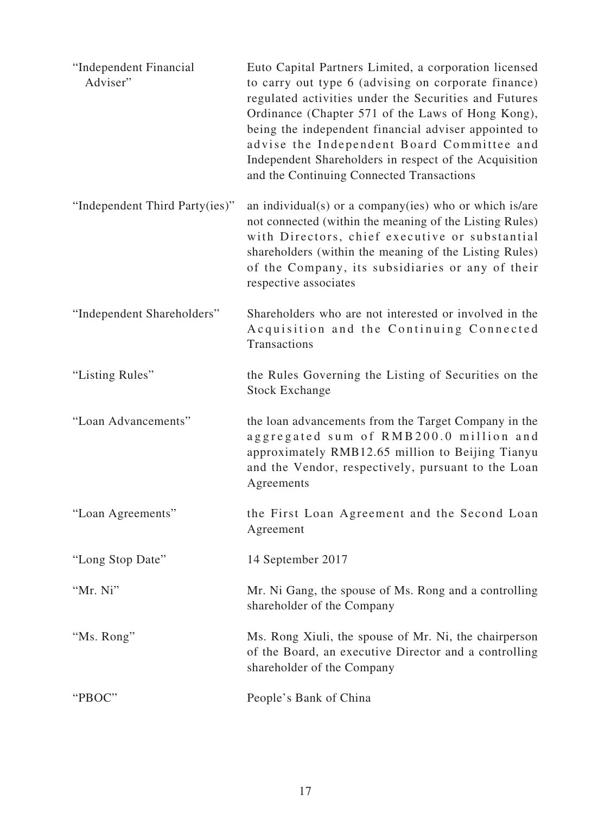| "Independent Financial<br>Adviser" | Euto Capital Partners Limited, a corporation licensed<br>to carry out type 6 (advising on corporate finance)<br>regulated activities under the Securities and Futures<br>Ordinance (Chapter 571 of the Laws of Hong Kong),<br>being the independent financial adviser appointed to<br>advise the Independent Board Committee and<br>Independent Shareholders in respect of the Acquisition<br>and the Continuing Connected Transactions |
|------------------------------------|-----------------------------------------------------------------------------------------------------------------------------------------------------------------------------------------------------------------------------------------------------------------------------------------------------------------------------------------------------------------------------------------------------------------------------------------|
| "Independent Third Party(ies)"     | an individual(s) or a company(ies) who or which is/are<br>not connected (within the meaning of the Listing Rules)<br>with Directors, chief executive or substantial<br>shareholders (within the meaning of the Listing Rules)<br>of the Company, its subsidiaries or any of their<br>respective associates                                                                                                                              |
| "Independent Shareholders"         | Shareholders who are not interested or involved in the<br>Acquisition and the Continuing Connected<br>Transactions                                                                                                                                                                                                                                                                                                                      |
| "Listing Rules"                    | the Rules Governing the Listing of Securities on the<br><b>Stock Exchange</b>                                                                                                                                                                                                                                                                                                                                                           |
| "Loan Advancements"                | the loan advancements from the Target Company in the<br>aggregated sum of RMB200.0 million and<br>approximately RMB12.65 million to Beijing Tianyu<br>and the Vendor, respectively, pursuant to the Loan<br>Agreements                                                                                                                                                                                                                  |
| "Loan Agreements"                  | the First Loan Agreement and the Second Loan<br>Agreement                                                                                                                                                                                                                                                                                                                                                                               |
| "Long Stop Date"                   | 14 September 2017                                                                                                                                                                                                                                                                                                                                                                                                                       |
| "Mr. Ni"                           | Mr. Ni Gang, the spouse of Ms. Rong and a controlling<br>shareholder of the Company                                                                                                                                                                                                                                                                                                                                                     |
| "Ms. Rong"                         | Ms. Rong Xiuli, the spouse of Mr. Ni, the chairperson<br>of the Board, an executive Director and a controlling<br>shareholder of the Company                                                                                                                                                                                                                                                                                            |
| "PBOC"                             | People's Bank of China                                                                                                                                                                                                                                                                                                                                                                                                                  |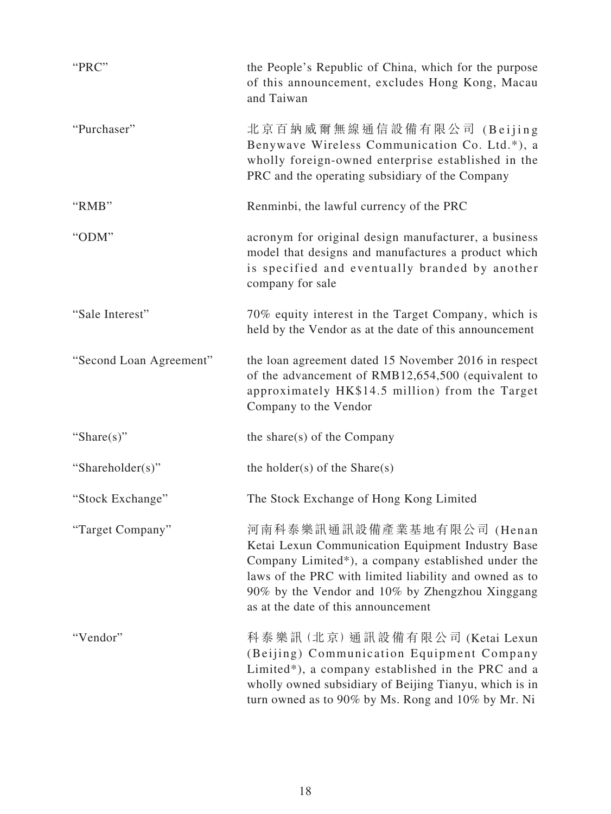| "PRC"                   | the People's Republic of China, which for the purpose<br>of this announcement, excludes Hong Kong, Macau<br>and Taiwan                                                                                                                                                                   |
|-------------------------|------------------------------------------------------------------------------------------------------------------------------------------------------------------------------------------------------------------------------------------------------------------------------------------|
| "Purchaser"             | 北京百納威爾無線通信設備有限公司 (Beijing<br>Benywave Wireless Communication Co. Ltd.*), a<br>wholly foreign-owned enterprise established in the<br>PRC and the operating subsidiary of the Company                                                                                                      |
| "RMB"                   | Renminbi, the lawful currency of the PRC                                                                                                                                                                                                                                                 |
| "ODM"                   | acronym for original design manufacturer, a business<br>model that designs and manufactures a product which<br>is specified and eventually branded by another<br>company for sale                                                                                                        |
| "Sale Interest"         | 70% equity interest in the Target Company, which is<br>held by the Vendor as at the date of this announcement                                                                                                                                                                            |
| "Second Loan Agreement" | the loan agreement dated 15 November 2016 in respect<br>of the advancement of RMB12,654,500 (equivalent to<br>approximately HK\$14.5 million) from the Target<br>Company to the Vendor                                                                                                   |
| "Share $(s)$ "          | the share(s) of the Company                                                                                                                                                                                                                                                              |
| "Shareholder(s)"        | the holder(s) of the $Share(s)$                                                                                                                                                                                                                                                          |
| "Stock Exchange"        | The Stock Exchange of Hong Kong Limited                                                                                                                                                                                                                                                  |
| "Target Company"        | 河南科泰樂訊通訊設備產業基地有限公司 (Henan<br>Ketai Lexun Communication Equipment Industry Base<br>Company Limited*), a company established under the<br>laws of the PRC with limited liability and owned as to<br>90% by the Vendor and 10% by Zhengzhou Xinggang<br>as at the date of this announcement |
| "Vendor"                | 科泰樂訊 (北京) 通訊設備有限公司 (Ketai Lexun<br>(Beijing) Communication Equipment Company<br>Limited*), a company established in the PRC and a<br>wholly owned subsidiary of Beijing Tianyu, which is in<br>turn owned as to 90% by Ms. Rong and 10% by Mr. Ni                                        |